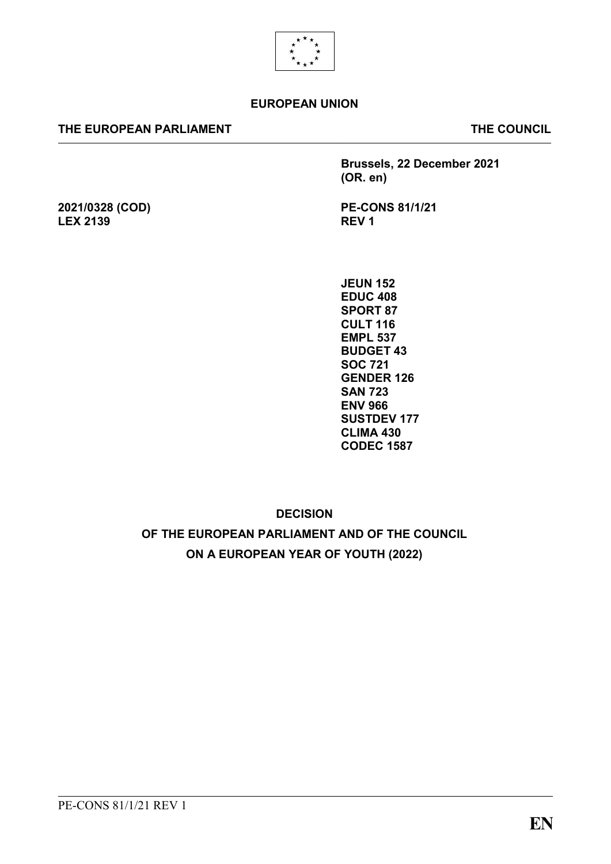

#### **EUROPEAN UNION**

#### **THE EUROPEAN PARLIAMENT THE COUNCIL**

**2021/0328 (COD)**

**LEX 2139**

**Brussels, 22 December 2021 (OR. en)**

**PE-CONS 81/1/21 REV 1**

**JEUN 152 EDUC 408 SPORT 87 CULT 116 EMPL 537 BUDGET 43 SOC 721 GENDER 126 SAN 723 ENV 966 SUSTDEV 177 CLIMA 430 CODEC 1587**

**DECISION** 

**OF THE EUROPEAN PARLIAMENT AND OF THE COUNCIL ON A EUROPEAN YEAR OF YOUTH (2022)**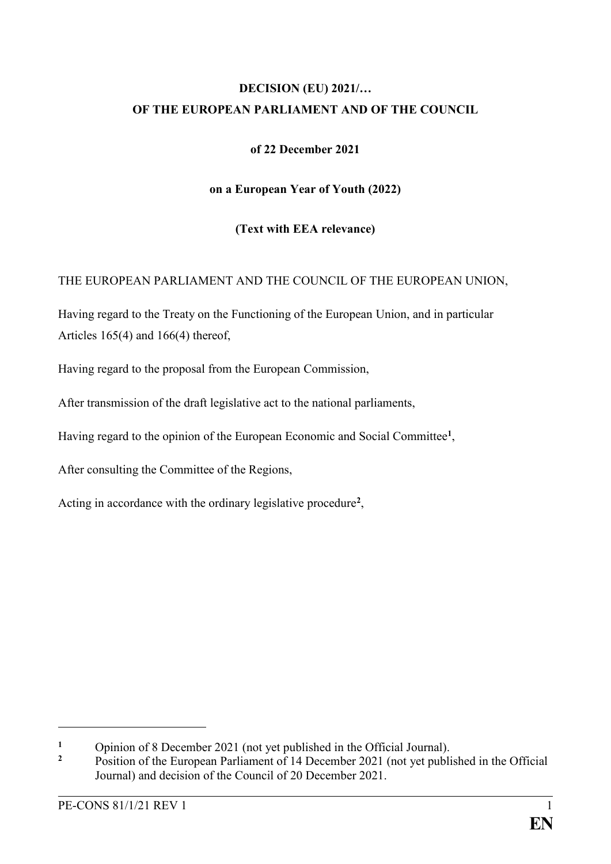# **DECISION (EU) 2021/… OF THE EUROPEAN PARLIAMENT AND OF THE COUNCIL**

## **of 22 December 2021**

## **on a European Year of Youth (2022)**

# **(Text with EEA relevance)**

# THE EUROPEAN PARLIAMENT AND THE COUNCIL OF THE EUROPEAN UNION,

Having regard to the Treaty on the Functioning of the European Union, and in particular Articles  $165(4)$  and  $166(4)$  thereof,

Having regard to the proposal from the European Commission,

After transmission of the draft legislative act to the national parliaments,

Having regard to the opinion of the European Economic and Social Committee**<sup>1</sup>** ,

After consulting the Committee of the Regions,

Acting in accordance with the ordinary legislative procedure**<sup>2</sup>** ,

<sup>&</sup>lt;sup>1</sup> Opinion of 8 December 2021 (not yet published in the Official Journal).

**<sup>2</sup>** Position of the European Parliament of 14 December 2021 (not yet published in the Official Journal) and decision of the Council of 20 December 2021.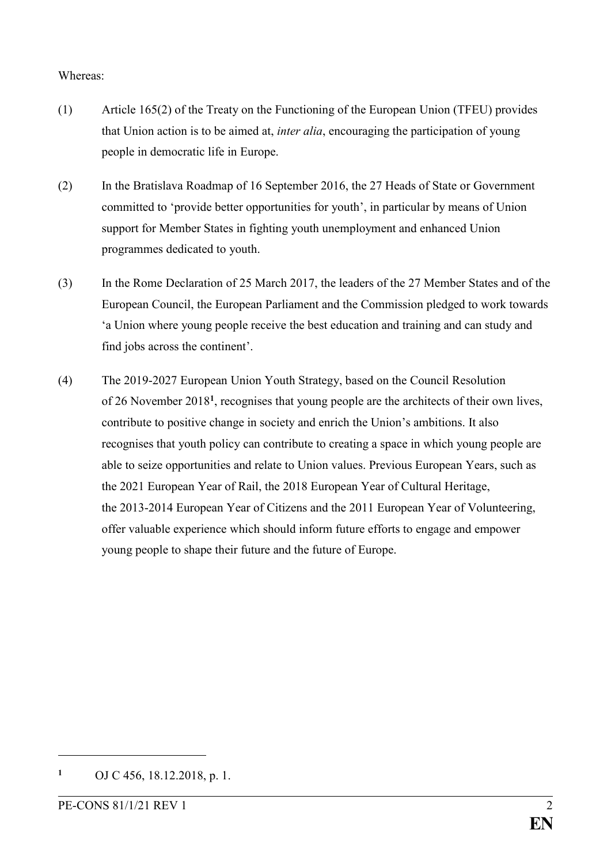#### Whereas:

- (1) Article 165(2) of the Treaty on the Functioning of the European Union (TFEU) provides that Union action is to be aimed at, *inter alia*, encouraging the participation of young people in democratic life in Europe.
- (2) In the Bratislava Roadmap of 16 September 2016, the 27 Heads of State or Government committed to 'provide better opportunities for youth', in particular by means of Union support for Member States in fighting youth unemployment and enhanced Union programmes dedicated to youth.
- (3) In the Rome Declaration of 25 March 2017, the leaders of the 27 Member States and of the European Council, the European Parliament and the Commission pledged to work towards 'a Union where young people receive the best education and training and can study and find jobs across the continent'.
- (4) The 2019-2027 European Union Youth Strategy, based on the Council Resolution of 26 November 2018**<sup>1</sup>** , recognises that young people are the architects of their own lives, contribute to positive change in society and enrich the Union's ambitions. It also recognises that youth policy can contribute to creating a space in which young people are able to seize opportunities and relate to Union values. Previous European Years, such as the 2021 European Year of Rail, the 2018 European Year of Cultural Heritage, the 2013-2014 European Year of Citizens and the 2011 European Year of Volunteering, offer valuable experience which should inform future efforts to engage and empower young people to shape their future and the future of Europe.

**<sup>1</sup>** OJ C 456, 18.12.2018, p. 1.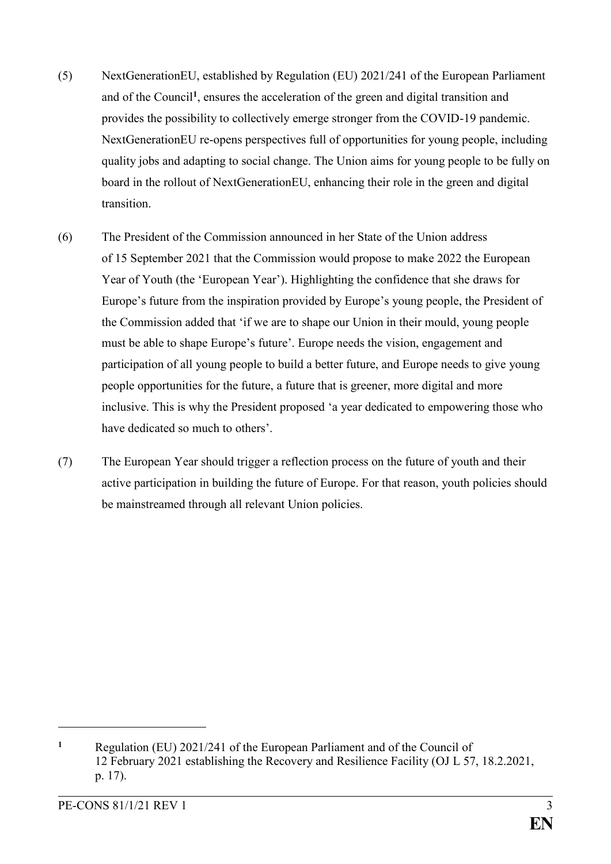- (5) NextGenerationEU, established by Regulation (EU) 2021/241 of the European Parliament and of the Council**<sup>1</sup>** , ensures the acceleration of the green and digital transition and provides the possibility to collectively emerge stronger from the COVID-19 pandemic. NextGenerationEU re-opens perspectives full of opportunities for young people, including quality jobs and adapting to social change. The Union aims for young people to be fully on board in the rollout of NextGenerationEU, enhancing their role in the green and digital transition.
- (6) The President of the Commission announced in her State of the Union address of 15 September 2021 that the Commission would propose to make 2022 the European Year of Youth (the 'European Year'). Highlighting the confidence that she draws for Europe's future from the inspiration provided by Europe's young people, the President of the Commission added that 'if we are to shape our Union in their mould, young people must be able to shape Europe's future'. Europe needs the vision, engagement and participation of all young people to build a better future, and Europe needs to give young people opportunities for the future, a future that is greener, more digital and more inclusive. This is why the President proposed 'a year dedicated to empowering those who have dedicated so much to others'.
- (7) The European Year should trigger a reflection process on the future of youth and their active participation in building the future of Europe. For that reason, youth policies should be mainstreamed through all relevant Union policies.

**<sup>1</sup>** Regulation (EU) 2021/241 of the European Parliament and of the Council of 12 February 2021 establishing the Recovery and Resilience Facility (OJ L 57, 18.2.2021, p. 17).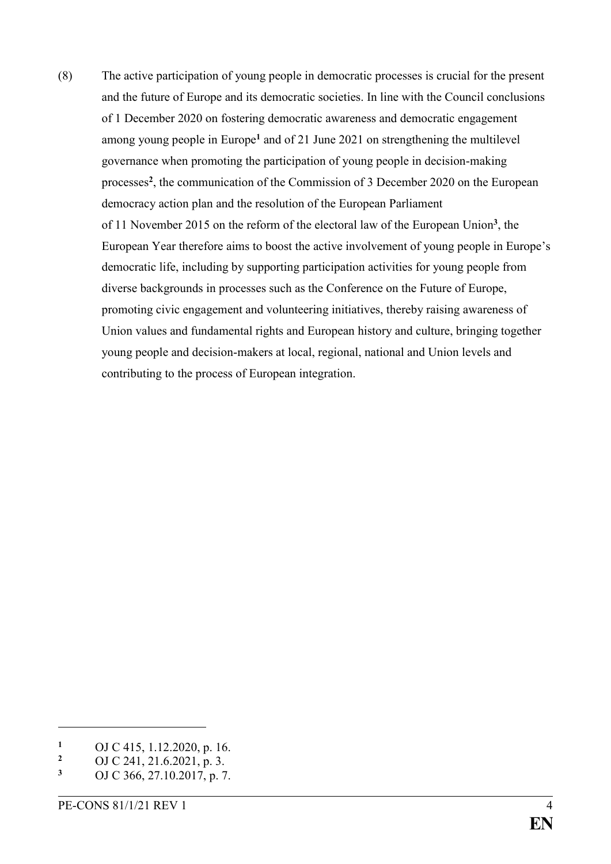(8) The active participation of young people in democratic processes is crucial for the present and the future of Europe and its democratic societies. In line with the Council conclusions of 1 December 2020 on fostering democratic awareness and democratic engagement among young people in Europe**<sup>1</sup>** and of 21 June 2021 on strengthening the multilevel governance when promoting the participation of young people in decision-making processes**<sup>2</sup>** , the communication of the Commission of 3 December 2020 on the European democracy action plan and the resolution of the European Parliament of 11 November 2015 on the reform of the electoral law of the European Union**<sup>3</sup>** , the European Year therefore aims to boost the active involvement of young people in Europe's democratic life, including by supporting participation activities for young people from diverse backgrounds in processes such as the Conference on the Future of Europe, promoting civic engagement and volunteering initiatives, thereby raising awareness of Union values and fundamental rights and European history and culture, bringing together young people and decision-makers at local, regional, national and Union levels and contributing to the process of European integration.

<sup>&</sup>lt;sup>1</sup> OJ C 415, 1.12.2020, p. 16.<br><sup>2</sup> OJ C 241, 21.6.2021, p. 3.

<sup>&</sup>lt;sup>2</sup> OJ C 241, 21.6.2021, p. 3.<br>3 OJ C 266, 27.10.2017, p. 7.

**<sup>3</sup>** OJ C 366, 27.10.2017, p. 7.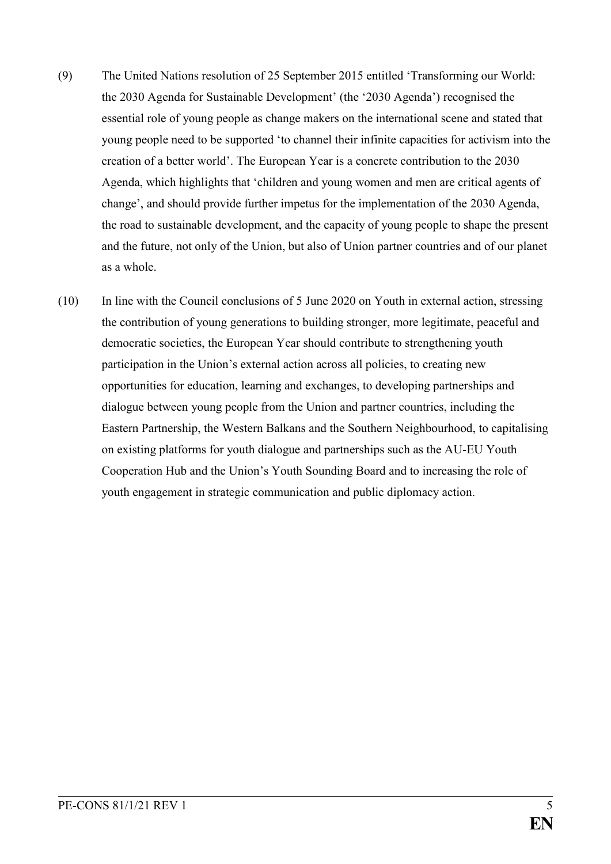- (9) The United Nations resolution of 25 September 2015 entitled 'Transforming our World: the 2030 Agenda for Sustainable Development' (the '2030 Agenda') recognised the essential role of young people as change makers on the international scene and stated that young people need to be supported 'to channel their infinite capacities for activism into the creation of a better world'. The European Year is a concrete contribution to the 2030 Agenda, which highlights that 'children and young women and men are critical agents of change', and should provide further impetus for the implementation of the 2030 Agenda, the road to sustainable development, and the capacity of young people to shape the present and the future, not only of the Union, but also of Union partner countries and of our planet as a whole.
- (10) In line with the Council conclusions of 5 June 2020 on Youth in external action, stressing the contribution of young generations to building stronger, more legitimate, peaceful and democratic societies, the European Year should contribute to strengthening youth participation in the Union's external action across all policies, to creating new opportunities for education, learning and exchanges, to developing partnerships and dialogue between young people from the Union and partner countries, including the Eastern Partnership, the Western Balkans and the Southern Neighbourhood, to capitalising on existing platforms for youth dialogue and partnerships such as the AU-EU Youth Cooperation Hub and the Union's Youth Sounding Board and to increasing the role of youth engagement in strategic communication and public diplomacy action.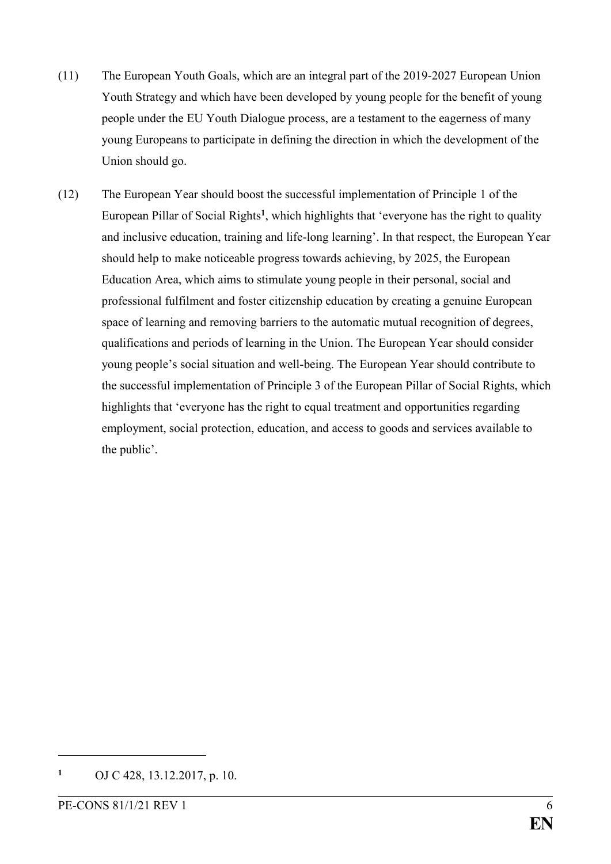- (11) The European Youth Goals, which are an integral part of the 2019-2027 European Union Youth Strategy and which have been developed by young people for the benefit of young people under the EU Youth Dialogue process, are a testament to the eagerness of many young Europeans to participate in defining the direction in which the development of the Union should go.
- (12) The European Year should boost the successful implementation of Principle 1 of the European Pillar of Social Rights**<sup>1</sup>** , which highlights that 'everyone has the right to quality and inclusive education, training and life-long learning'. In that respect, the European Year should help to make noticeable progress towards achieving, by 2025, the European Education Area, which aims to stimulate young people in their personal, social and professional fulfilment and foster citizenship education by creating a genuine European space of learning and removing barriers to the automatic mutual recognition of degrees, qualifications and periods of learning in the Union. The European Year should consider young people's social situation and well-being. The European Year should contribute to the successful implementation of Principle 3 of the European Pillar of Social Rights, which highlights that 'everyone has the right to equal treatment and opportunities regarding employment, social protection, education, and access to goods and services available to the public'.

**<sup>1</sup>** OJ C 428, 13.12.2017, p. 10.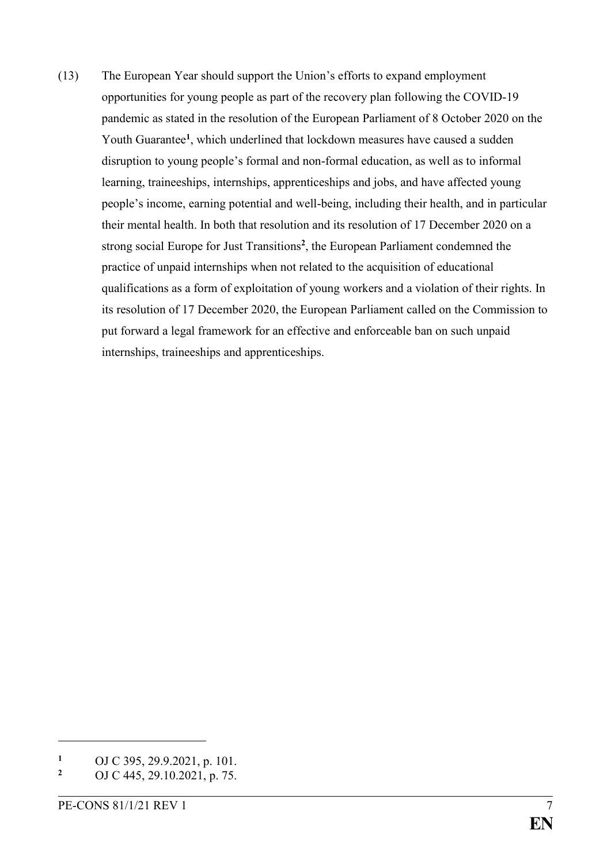(13) The European Year should support the Union's efforts to expand employment opportunities for young people as part of the recovery plan following the COVID-19 pandemic as stated in the resolution of the European Parliament of 8 October 2020 on the Youth Guarantee**<sup>1</sup>** , which underlined that lockdown measures have caused a sudden disruption to young people's formal and non-formal education, as well as to informal learning, traineeships, internships, apprenticeships and jobs, and have affected young people's income, earning potential and well-being, including their health, and in particular their mental health. In both that resolution and its resolution of 17 December 2020 on a strong social Europe for Just Transitions**<sup>2</sup>** , the European Parliament condemned the practice of unpaid internships when not related to the acquisition of educational qualifications as a form of exploitation of young workers and a violation of their rights. In its resolution of 17 December 2020, the European Parliament called on the Commission to put forward a legal framework for an effective and enforceable ban on such unpaid internships, traineeships and apprenticeships.

<sup>&</sup>lt;sup>1</sup> OJ C 395, 29.9.2021, p. 101.

**<sup>2</sup>** OJ C 445, 29.10.2021, p. 75.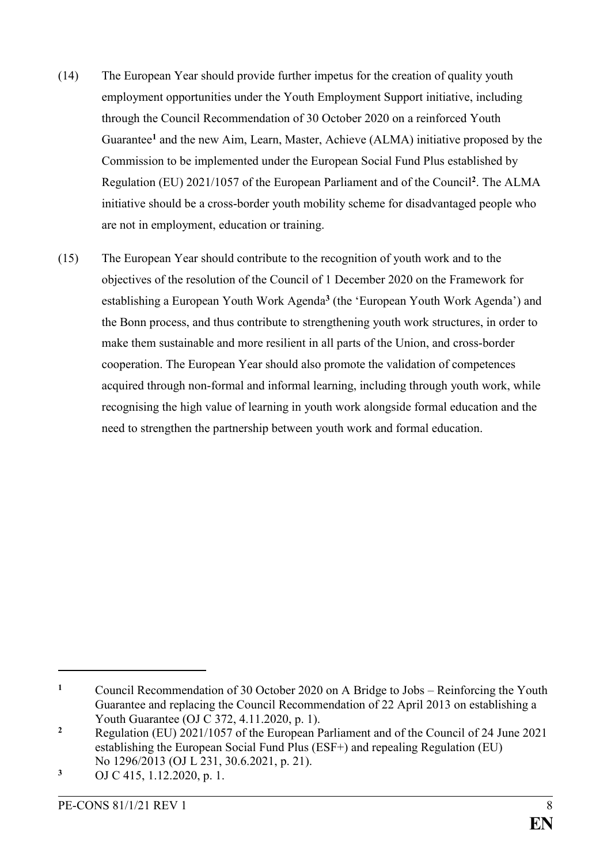- (14) The European Year should provide further impetus for the creation of quality youth employment opportunities under the Youth Employment Support initiative, including through the Council Recommendation of 30 October 2020 on a reinforced Youth Guarantee**<sup>1</sup>** and the new Aim, Learn, Master, Achieve (ALMA) initiative proposed by the Commission to be implemented under the European Social Fund Plus established by Regulation (EU) 2021/1057 of the European Parliament and of the Council**<sup>2</sup>** . The ALMA initiative should be a cross-border youth mobility scheme for disadvantaged people who are not in employment, education or training.
- (15) The European Year should contribute to the recognition of youth work and to the objectives of the resolution of the Council of 1 December 2020 on the Framework for establishing a European Youth Work Agenda**<sup>3</sup>** (the 'European Youth Work Agenda') and the Bonn process, and thus contribute to strengthening youth work structures, in order to make them sustainable and more resilient in all parts of the Union, and cross-border cooperation. The European Year should also promote the validation of competences acquired through non-formal and informal learning, including through youth work, while recognising the high value of learning in youth work alongside formal education and the need to strengthen the partnership between youth work and formal education.

**<sup>1</sup>** Council Recommendation of 30 October 2020 on A Bridge to Jobs – Reinforcing the Youth Guarantee and replacing the Council Recommendation of 22 April 2013 on establishing a Youth Guarantee (OJ C 372, 4.11.2020, p. 1).

**<sup>2</sup>** Regulation (EU) 2021/1057 of the European Parliament and of the Council of 24 June 2021 establishing the European Social Fund Plus (ESF+) and repealing Regulation (EU) No 1296/2013 (OJ L 231, 30.6.2021, p. 21).

**<sup>3</sup>** OJ C 415, 1.12.2020, p. 1.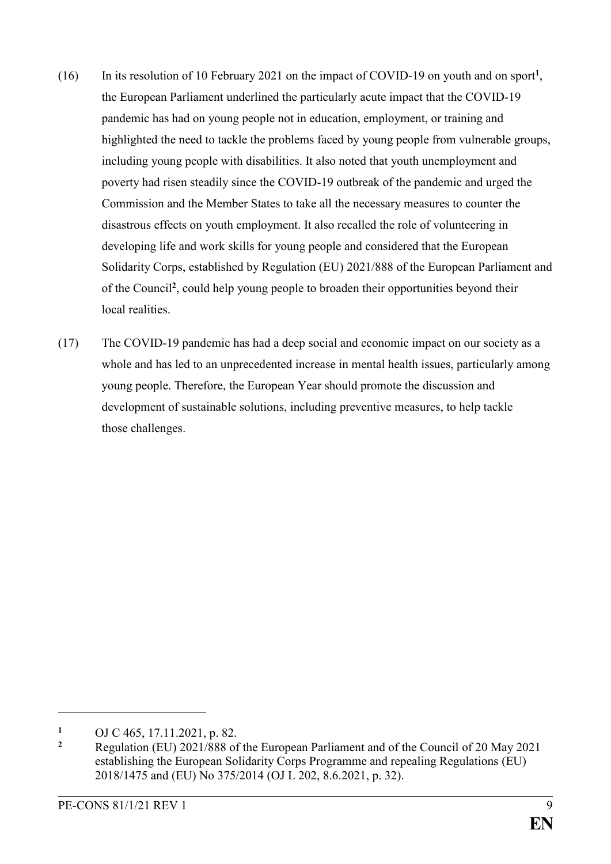- (16) In its resolution of 10 February 2021 on the impact of COVID-19 on youth and on sport**<sup>1</sup>** , the European Parliament underlined the particularly acute impact that the COVID-19 pandemic has had on young people not in education, employment, or training and highlighted the need to tackle the problems faced by young people from vulnerable groups, including young people with disabilities. It also noted that youth unemployment and poverty had risen steadily since the COVID-19 outbreak of the pandemic and urged the Commission and the Member States to take all the necessary measures to counter the disastrous effects on youth employment. It also recalled the role of volunteering in developing life and work skills for young people and considered that the European Solidarity Corps, established by Regulation (EU) 2021/888 of the European Parliament and of the Council**<sup>2</sup>** , could help young people to broaden their opportunities beyond their local realities.
- (17) The COVID-19 pandemic has had a deep social and economic impact on our society as a whole and has led to an unprecedented increase in mental health issues, particularly among young people. Therefore, the European Year should promote the discussion and development of sustainable solutions, including preventive measures, to help tackle those challenges.

<u>.</u>

<sup>&</sup>lt;sup>1</sup> OJ C 465, 17.11.2021, p. 82.

**<sup>2</sup>** Regulation (EU) 2021/888 of the European Parliament and of the Council of 20 May 2021 establishing the European Solidarity Corps Programme and repealing Regulations (EU) 2018/1475 and (EU) No 375/2014 (OJ L 202, 8.6.2021, p. 32).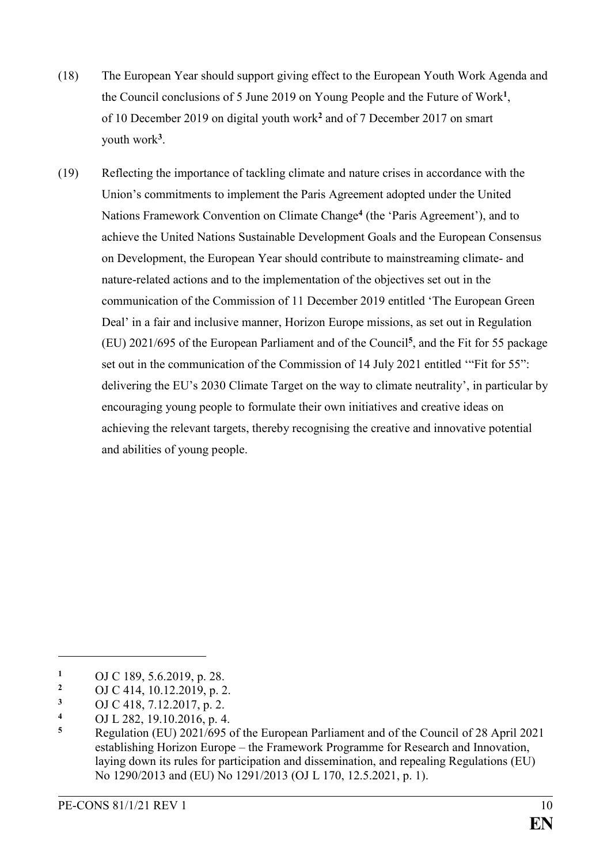- (18) The European Year should support giving effect to the European Youth Work Agenda and the Council conclusions of 5 June 2019 on Young People and the Future of Work**<sup>1</sup>** , of 10 December 2019 on digital youth work**<sup>2</sup>** and of 7 December 2017 on smart youth work**<sup>3</sup>** .
- (19) Reflecting the importance of tackling climate and nature crises in accordance with the Union's commitments to implement the Paris Agreement adopted under the United Nations Framework Convention on Climate Change<sup>4</sup> (the 'Paris Agreement'), and to achieve the United Nations Sustainable Development Goals and the European Consensus on Development, the European Year should contribute to mainstreaming climate- and nature-related actions and to the implementation of the objectives set out in the communication of the Commission of 11 December 2019 entitled 'The European Green Deal' in a fair and inclusive manner, Horizon Europe missions, as set out in Regulation (EU) 2021/695 of the European Parliament and of the Council**<sup>5</sup>** , and the Fit for 55 package set out in the communication of the Commission of 14 July 2021 entitled '"Fit for 55": delivering the EU's 2030 Climate Target on the way to climate neutrality', in particular by encouraging young people to formulate their own initiatives and creative ideas on achieving the relevant targets, thereby recognising the creative and innovative potential and abilities of young people.

- **<sup>3</sup>** OJ C 418, 7.12.2017, p. 2.
- **<sup>4</sup>** OJ L 282, 19.10.2016, p. 4.

**<sup>1</sup>** OJ C 189, 5.6.2019, p. 28.

<sup>&</sup>lt;sup>2</sup> OJ C 414, 10.12.2019, p. 2.<br><sup>3</sup> OJ C 418, 7.12.2017, p. 2.

**<sup>5</sup>** Regulation (EU) 2021/695 of the European Parliament and of the Council of 28 April 2021 establishing Horizon Europe – the Framework Programme for Research and Innovation, laying down its rules for participation and dissemination, and repealing Regulations (EU) No 1290/2013 and (EU) No 1291/2013 (OJ L 170, 12.5.2021, p. 1).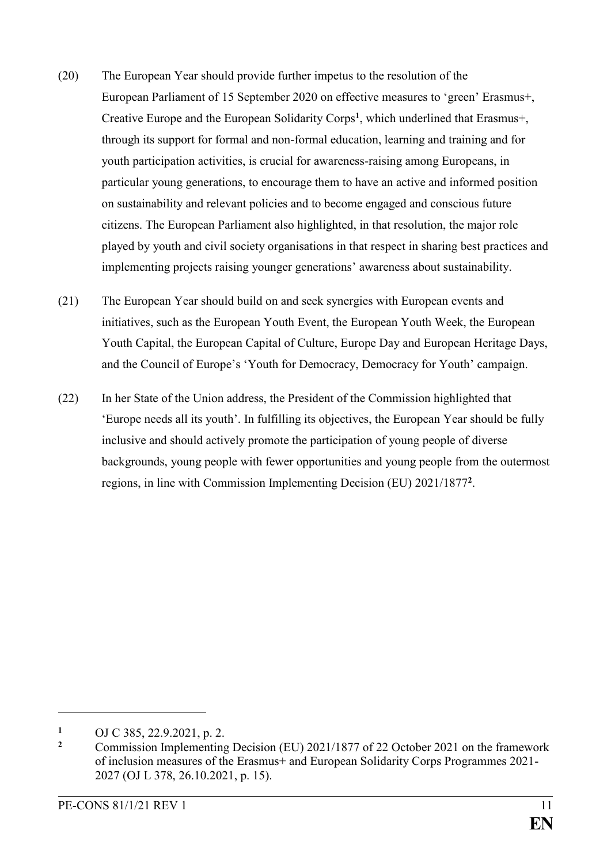- (20) The European Year should provide further impetus to the resolution of the European Parliament of 15 September 2020 on effective measures to 'green' Erasmus+, Creative Europe and the European Solidarity Corps**<sup>1</sup>** , which underlined that Erasmus+, through its support for formal and non-formal education, learning and training and for youth participation activities, is crucial for awareness-raising among Europeans, in particular young generations, to encourage them to have an active and informed position on sustainability and relevant policies and to become engaged and conscious future citizens. The European Parliament also highlighted, in that resolution, the major role played by youth and civil society organisations in that respect in sharing best practices and implementing projects raising younger generations' awareness about sustainability.
- (21) The European Year should build on and seek synergies with European events and initiatives, such as the European Youth Event, the European Youth Week, the European Youth Capital, the European Capital of Culture, Europe Day and European Heritage Days, and the Council of Europe's 'Youth for Democracy, Democracy for Youth' campaign.
- (22) In her State of the Union address, the President of the Commission highlighted that 'Europe needs all its youth'. In fulfilling its objectives, the European Year should be fully inclusive and should actively promote the participation of young people of diverse backgrounds, young people with fewer opportunities and young people from the outermost regions, in line with Commission Implementing Decision (EU) 2021/1877**<sup>2</sup>** .

<u>.</u>

**<sup>1</sup>** OJ C 385, 22.9.2021, p. 2.

**<sup>2</sup>** Commission Implementing Decision (EU) 2021/1877 of 22 October 2021 on the framework of inclusion measures of the Erasmus+ and European Solidarity Corps Programmes 2021- 2027 (OJ L 378, 26.10.2021, p. 15).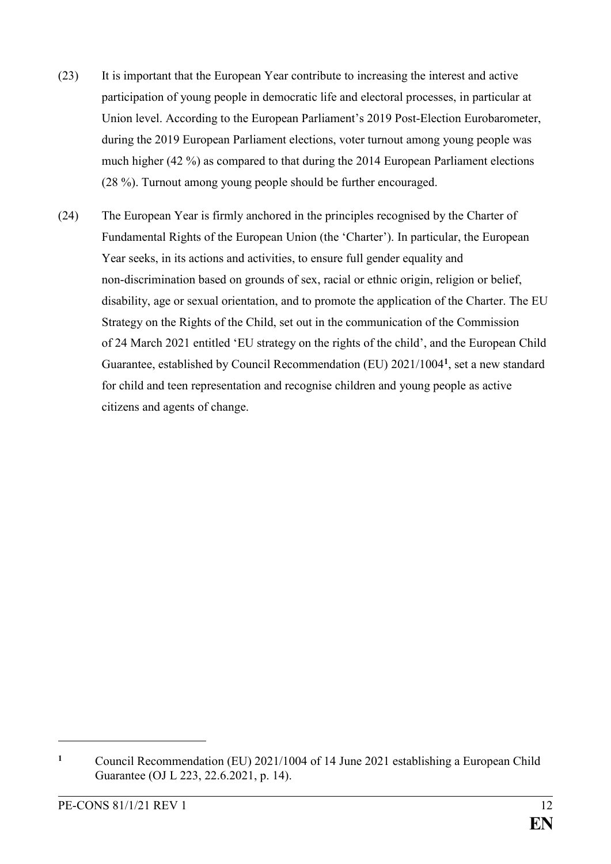- (23) It is important that the European Year contribute to increasing the interest and active participation of young people in democratic life and electoral processes, in particular at Union level. According to the European Parliament's 2019 Post-Election Eurobarometer, during the 2019 European Parliament elections, voter turnout among young people was much higher (42 %) as compared to that during the 2014 European Parliament elections (28 %). Turnout among young people should be further encouraged.
- (24) The European Year is firmly anchored in the principles recognised by the Charter of Fundamental Rights of the European Union (the 'Charter'). In particular, the European Year seeks, in its actions and activities, to ensure full gender equality and non-discrimination based on grounds of sex, racial or ethnic origin, religion or belief, disability, age or sexual orientation, and to promote the application of the Charter. The EU Strategy on the Rights of the Child, set out in the communication of the Commission of 24 March 2021 entitled 'EU strategy on the rights of the child', and the European Child Guarantee, established by Council Recommendation (EU) 2021/1004**<sup>1</sup>** , set a new standard for child and teen representation and recognise children and young people as active citizens and agents of change.

**<sup>1</sup>** Council Recommendation (EU) 2021/1004 of 14 June 2021 establishing a European Child Guarantee (OJ L 223, 22.6.2021, p. 14).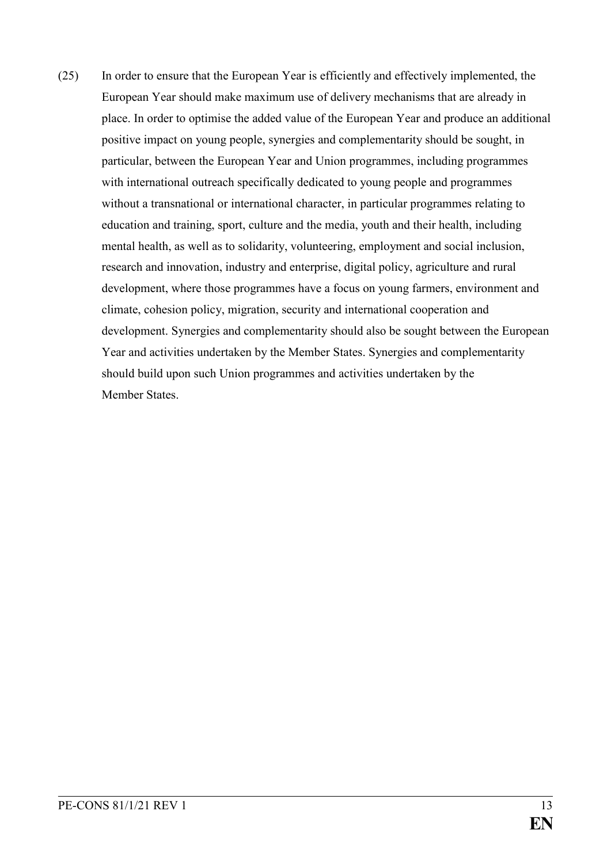(25) In order to ensure that the European Year is efficiently and effectively implemented, the European Year should make maximum use of delivery mechanisms that are already in place. In order to optimise the added value of the European Year and produce an additional positive impact on young people, synergies and complementarity should be sought, in particular, between the European Year and Union programmes, including programmes with international outreach specifically dedicated to young people and programmes without a transnational or international character, in particular programmes relating to education and training, sport, culture and the media, youth and their health, including mental health, as well as to solidarity, volunteering, employment and social inclusion, research and innovation, industry and enterprise, digital policy, agriculture and rural development, where those programmes have a focus on young farmers, environment and climate, cohesion policy, migration, security and international cooperation and development. Synergies and complementarity should also be sought between the European Year and activities undertaken by the Member States. Synergies and complementarity should build upon such Union programmes and activities undertaken by the Member States.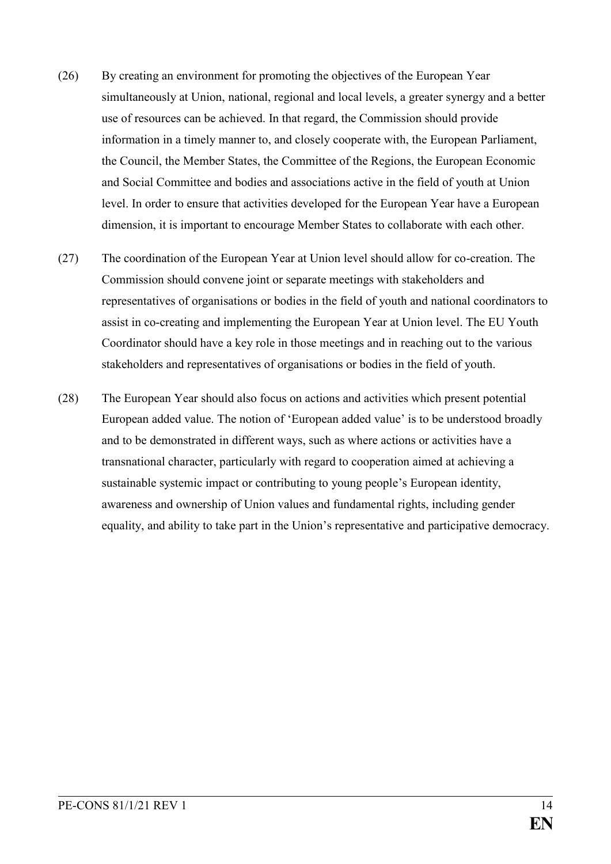- (26) By creating an environment for promoting the objectives of the European Year simultaneously at Union, national, regional and local levels, a greater synergy and a better use of resources can be achieved. In that regard, the Commission should provide information in a timely manner to, and closely cooperate with, the European Parliament, the Council, the Member States, the Committee of the Regions, the European Economic and Social Committee and bodies and associations active in the field of youth at Union level. In order to ensure that activities developed for the European Year have a European dimension, it is important to encourage Member States to collaborate with each other.
- (27) The coordination of the European Year at Union level should allow for co-creation. The Commission should convene joint or separate meetings with stakeholders and representatives of organisations or bodies in the field of youth and national coordinators to assist in co-creating and implementing the European Year at Union level. The EU Youth Coordinator should have a key role in those meetings and in reaching out to the various stakeholders and representatives of organisations or bodies in the field of youth.
- (28) The European Year should also focus on actions and activities which present potential European added value. The notion of 'European added value' is to be understood broadly and to be demonstrated in different ways, such as where actions or activities have a transnational character, particularly with regard to cooperation aimed at achieving a sustainable systemic impact or contributing to young people's European identity, awareness and ownership of Union values and fundamental rights, including gender equality, and ability to take part in the Union's representative and participative democracy.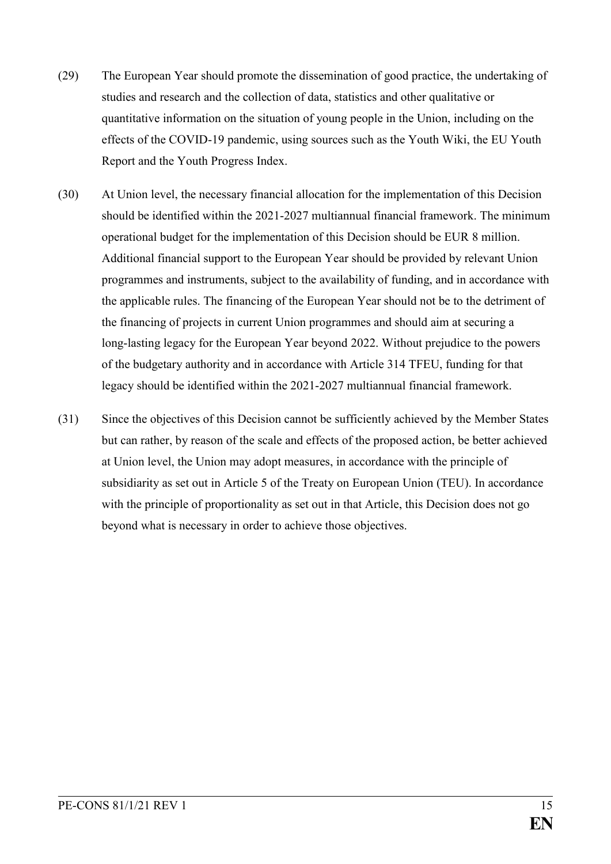- (29) The European Year should promote the dissemination of good practice, the undertaking of studies and research and the collection of data, statistics and other qualitative or quantitative information on the situation of young people in the Union, including on the effects of the COVID-19 pandemic, using sources such as the Youth Wiki, the EU Youth Report and the Youth Progress Index.
- (30) At Union level, the necessary financial allocation for the implementation of this Decision should be identified within the 2021-2027 multiannual financial framework. The minimum operational budget for the implementation of this Decision should be EUR 8 million. Additional financial support to the European Year should be provided by relevant Union programmes and instruments, subject to the availability of funding, and in accordance with the applicable rules. The financing of the European Year should not be to the detriment of the financing of projects in current Union programmes and should aim at securing a long-lasting legacy for the European Year beyond 2022. Without prejudice to the powers of the budgetary authority and in accordance with Article 314 TFEU, funding for that legacy should be identified within the 2021-2027 multiannual financial framework.
- (31) Since the objectives of this Decision cannot be sufficiently achieved by the Member States but can rather, by reason of the scale and effects of the proposed action, be better achieved at Union level, the Union may adopt measures, in accordance with the principle of subsidiarity as set out in Article 5 of the Treaty on European Union (TEU). In accordance with the principle of proportionality as set out in that Article, this Decision does not go beyond what is necessary in order to achieve those objectives.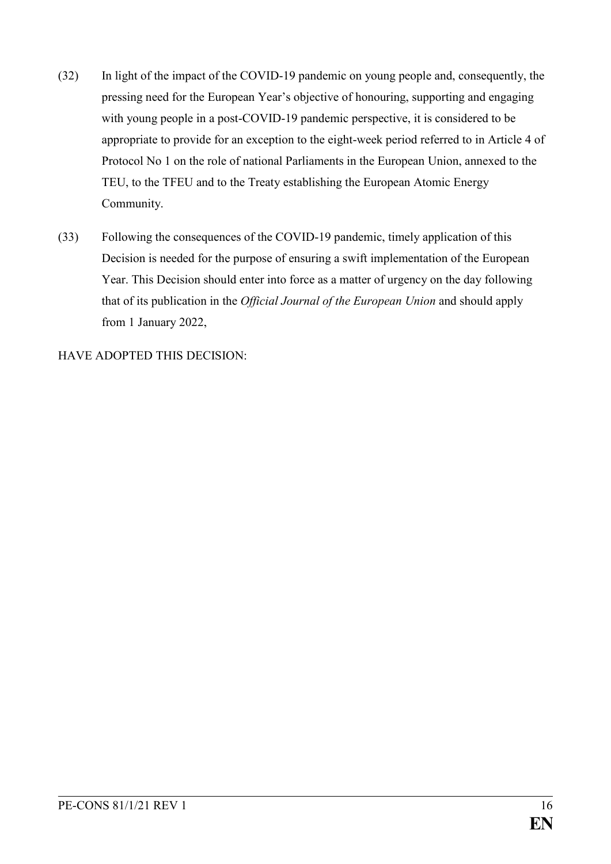- (32) In light of the impact of the COVID-19 pandemic on young people and, consequently, the pressing need for the European Year's objective of honouring, supporting and engaging with young people in a post-COVID-19 pandemic perspective, it is considered to be appropriate to provide for an exception to the eight-week period referred to in Article 4 of Protocol No 1 on the role of national Parliaments in the European Union, annexed to the TEU, to the TFEU and to the Treaty establishing the European Atomic Energy Community.
- (33) Following the consequences of the COVID-19 pandemic, timely application of this Decision is needed for the purpose of ensuring a swift implementation of the European Year. This Decision should enter into force as a matter of urgency on the day following that of its publication in the *Official Journal of the European Union* and should apply from 1 January 2022,

HAVE ADOPTED THIS DECISION: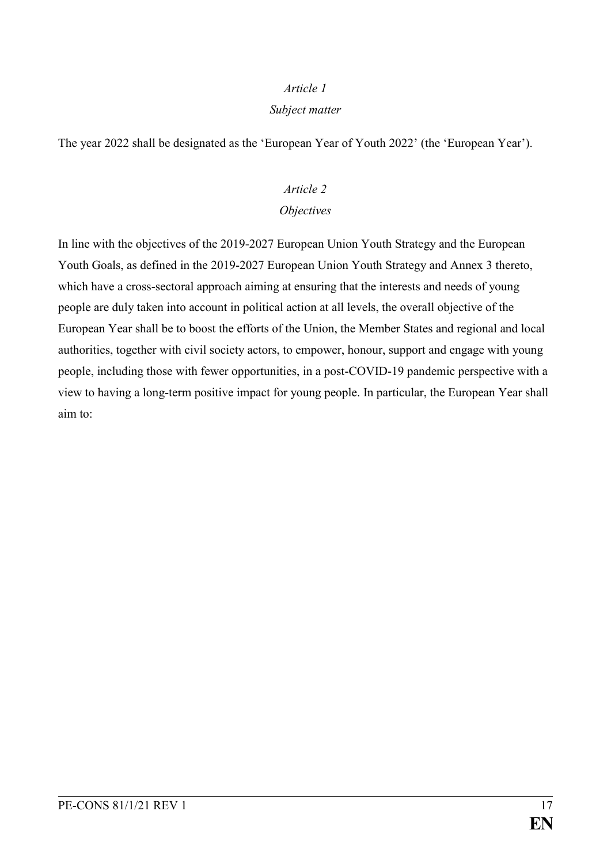#### *Subject matter*

The year 2022 shall be designated as the 'European Year of Youth 2022' (the 'European Year').

#### *Article 2*

### *Objectives*

In line with the objectives of the 2019-2027 European Union Youth Strategy and the European Youth Goals, as defined in the 2019-2027 European Union Youth Strategy and Annex 3 thereto, which have a cross-sectoral approach aiming at ensuring that the interests and needs of young people are duly taken into account in political action at all levels, the overall objective of the European Year shall be to boost the efforts of the Union, the Member States and regional and local authorities, together with civil society actors, to empower, honour, support and engage with young people, including those with fewer opportunities, in a post-COVID-19 pandemic perspective with a view to having a long-term positive impact for young people. In particular, the European Year shall aim to: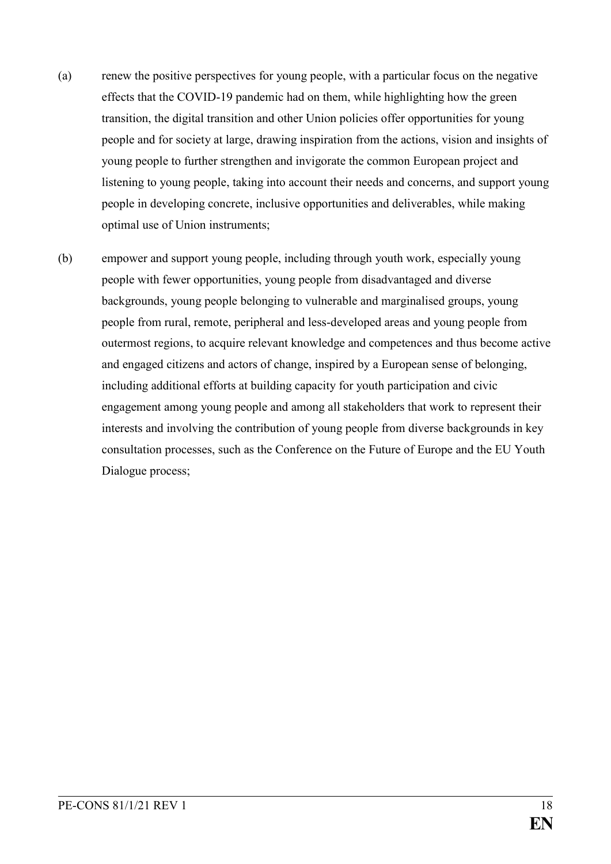- (a) renew the positive perspectives for young people, with a particular focus on the negative effects that the COVID-19 pandemic had on them, while highlighting how the green transition, the digital transition and other Union policies offer opportunities for young people and for society at large, drawing inspiration from the actions, vision and insights of young people to further strengthen and invigorate the common European project and listening to young people, taking into account their needs and concerns, and support young people in developing concrete, inclusive opportunities and deliverables, while making optimal use of Union instruments;
- (b) empower and support young people, including through youth work, especially young people with fewer opportunities, young people from disadvantaged and diverse backgrounds, young people belonging to vulnerable and marginalised groups, young people from rural, remote, peripheral and less-developed areas and young people from outermost regions, to acquire relevant knowledge and competences and thus become active and engaged citizens and actors of change, inspired by a European sense of belonging, including additional efforts at building capacity for youth participation and civic engagement among young people and among all stakeholders that work to represent their interests and involving the contribution of young people from diverse backgrounds in key consultation processes, such as the Conference on the Future of Europe and the EU Youth Dialogue process;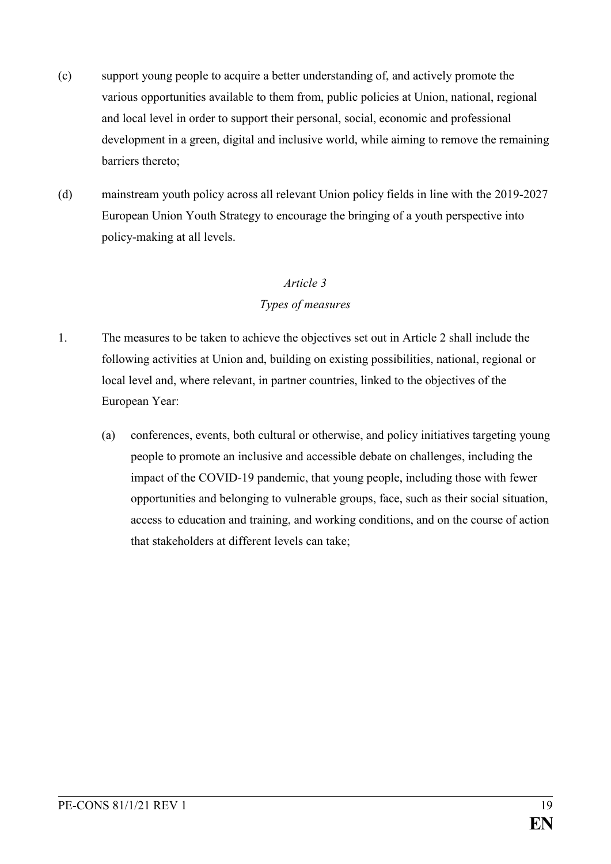- (c) support young people to acquire a better understanding of, and actively promote the various opportunities available to them from, public policies at Union, national, regional and local level in order to support their personal, social, economic and professional development in a green, digital and inclusive world, while aiming to remove the remaining barriers thereto;
- (d) mainstream youth policy across all relevant Union policy fields in line with the 2019-2027 European Union Youth Strategy to encourage the bringing of a youth perspective into policy-making at all levels.

#### *Types of measures*

- 1. The measures to be taken to achieve the objectives set out in Article 2 shall include the following activities at Union and, building on existing possibilities, national, regional or local level and, where relevant, in partner countries, linked to the objectives of the European Year:
	- (a) conferences, events, both cultural or otherwise, and policy initiatives targeting young people to promote an inclusive and accessible debate on challenges, including the impact of the COVID-19 pandemic, that young people, including those with fewer opportunities and belonging to vulnerable groups, face, such as their social situation, access to education and training, and working conditions, and on the course of action that stakeholders at different levels can take;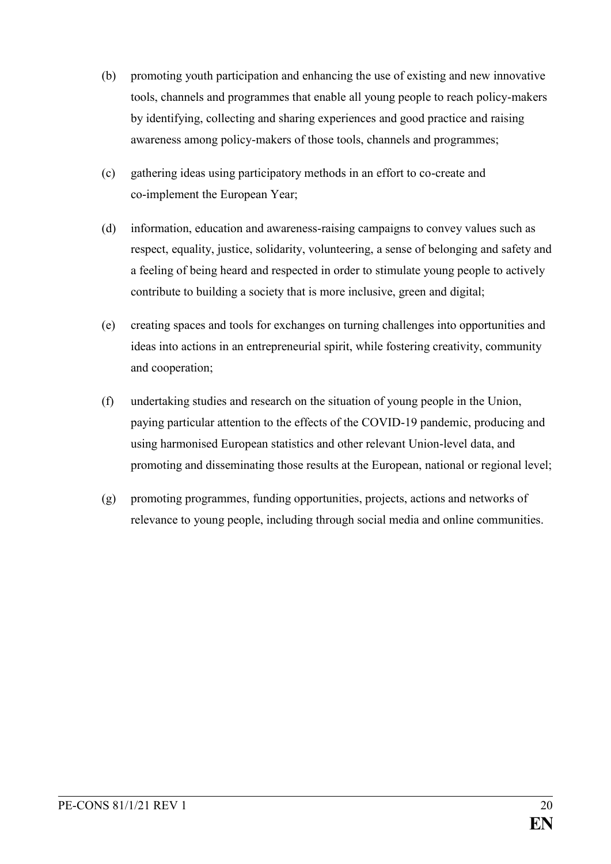- (b) promoting youth participation and enhancing the use of existing and new innovative tools, channels and programmes that enable all young people to reach policy-makers by identifying, collecting and sharing experiences and good practice and raising awareness among policy-makers of those tools, channels and programmes;
- (c) gathering ideas using participatory methods in an effort to co-create and co-implement the European Year;
- (d) information, education and awareness-raising campaigns to convey values such as respect, equality, justice, solidarity, volunteering, a sense of belonging and safety and a feeling of being heard and respected in order to stimulate young people to actively contribute to building a society that is more inclusive, green and digital;
- (e) creating spaces and tools for exchanges on turning challenges into opportunities and ideas into actions in an entrepreneurial spirit, while fostering creativity, community and cooperation;
- (f) undertaking studies and research on the situation of young people in the Union, paying particular attention to the effects of the COVID-19 pandemic, producing and using harmonised European statistics and other relevant Union-level data, and promoting and disseminating those results at the European, national or regional level;
- (g) promoting programmes, funding opportunities, projects, actions and networks of relevance to young people, including through social media and online communities.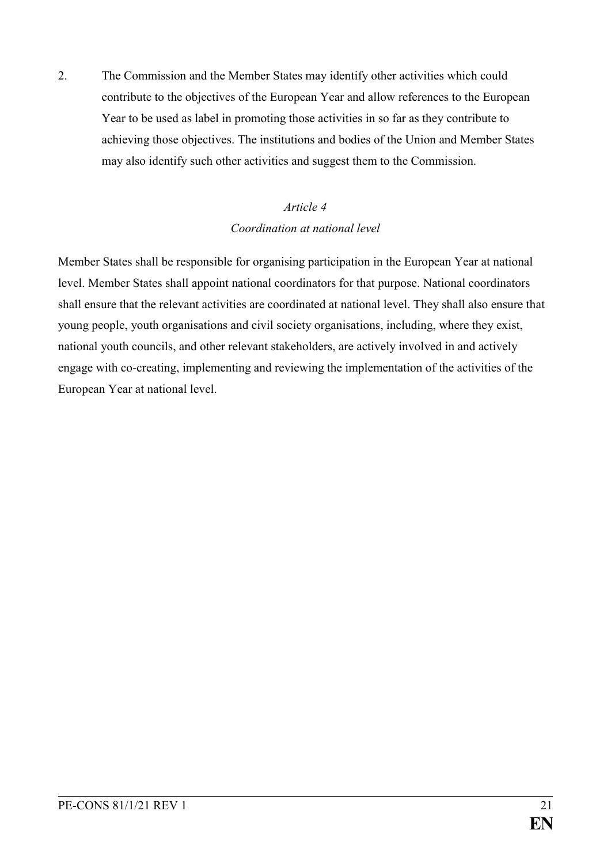2. The Commission and the Member States may identify other activities which could contribute to the objectives of the European Year and allow references to the European Year to be used as label in promoting those activities in so far as they contribute to achieving those objectives. The institutions and bodies of the Union and Member States may also identify such other activities and suggest them to the Commission.

# *Article 4 Coordination at national level*

Member States shall be responsible for organising participation in the European Year at national level. Member States shall appoint national coordinators for that purpose. National coordinators shall ensure that the relevant activities are coordinated at national level. They shall also ensure that young people, youth organisations and civil society organisations, including, where they exist, national youth councils, and other relevant stakeholders, are actively involved in and actively engage with co-creating, implementing and reviewing the implementation of the activities of the European Year at national level.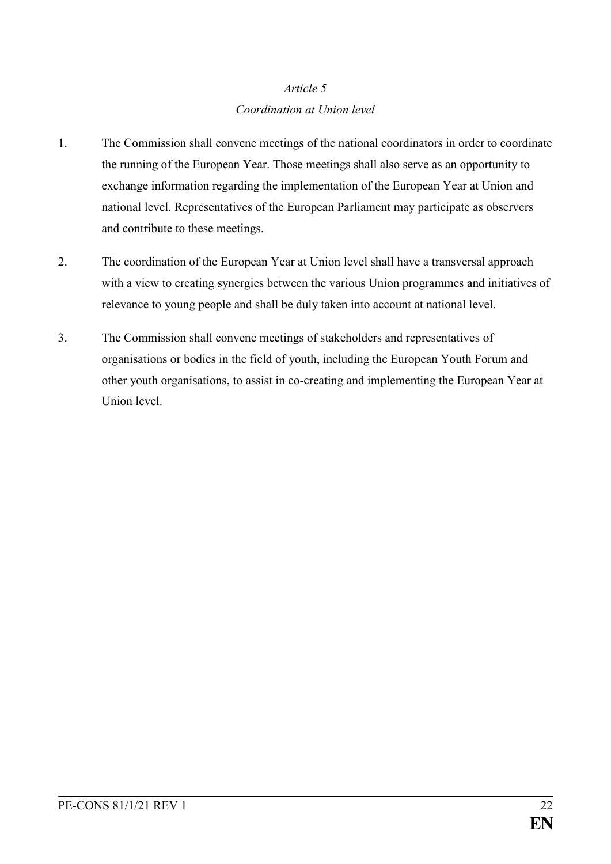# *Article 5 Coordination at Union level*

- 1. The Commission shall convene meetings of the national coordinators in order to coordinate the running of the European Year. Those meetings shall also serve as an opportunity to exchange information regarding the implementation of the European Year at Union and national level. Representatives of the European Parliament may participate as observers and contribute to these meetings.
- 2. The coordination of the European Year at Union level shall have a transversal approach with a view to creating synergies between the various Union programmes and initiatives of relevance to young people and shall be duly taken into account at national level.
- 3. The Commission shall convene meetings of stakeholders and representatives of organisations or bodies in the field of youth, including the European Youth Forum and other youth organisations, to assist in co-creating and implementing the European Year at Union level.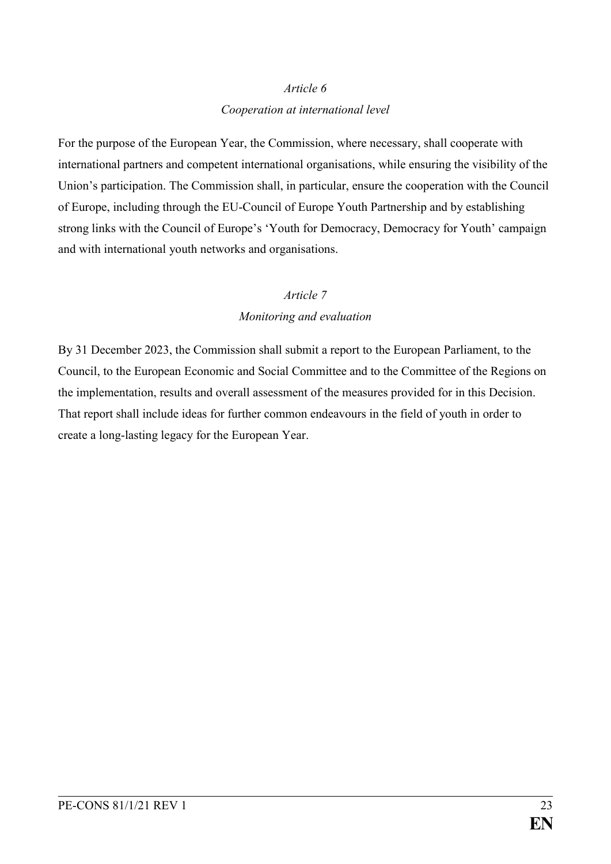#### *Cooperation at international level*

For the purpose of the European Year, the Commission, where necessary, shall cooperate with international partners and competent international organisations, while ensuring the visibility of the Union's participation. The Commission shall, in particular, ensure the cooperation with the Council of Europe, including through the EU-Council of Europe Youth Partnership and by establishing strong links with the Council of Europe's 'Youth for Democracy, Democracy for Youth' campaign and with international youth networks and organisations.

### *Article 7*

# *Monitoring and evaluation*

By 31 December 2023, the Commission shall submit a report to the European Parliament, to the Council, to the European Economic and Social Committee and to the Committee of the Regions on the implementation, results and overall assessment of the measures provided for in this Decision. That report shall include ideas for further common endeavours in the field of youth in order to create a long-lasting legacy for the European Year.